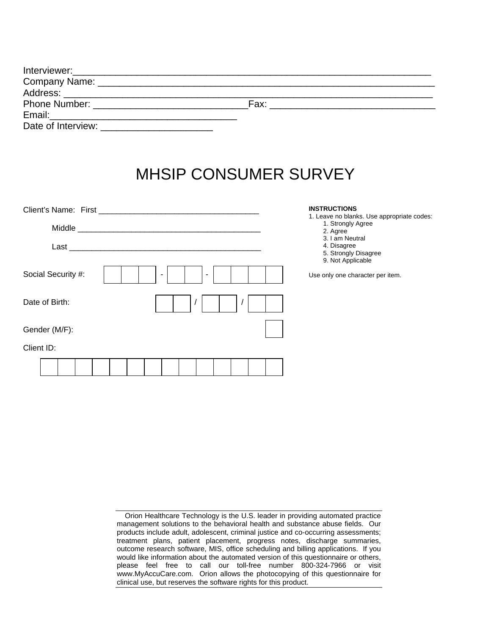|                                                                                                                | Fax: |  |
|----------------------------------------------------------------------------------------------------------------|------|--|
| Email: 2008. [2010] [2010] [2010] [2010] [2010] [2010] [2010] [2010] [2010] [2010] [2010] [2010] [2010] [2010] |      |  |
|                                                                                                                |      |  |

## MHSIP CONSUMER SURVEY

|                    |                                                                                                                      |                          |  |   |  |  | <b>INSTRUCTIONS</b>                                                                                                                                        |
|--------------------|----------------------------------------------------------------------------------------------------------------------|--------------------------|--|---|--|--|------------------------------------------------------------------------------------------------------------------------------------------------------------|
| Middle<br>Last     | <u> 2000 - 2000 - 2000 - 2000 - 2000 - 2000 - 2000 - 2000 - 2000 - 2000 - 2000 - 2000 - 2000 - 2000 - 2000 - 200</u> |                          |  |   |  |  | 1. Leave no blanks. Use appropriate codes:<br>1. Strongly Agree<br>2. Agree<br>3. I am Neutral<br>4. Disagree<br>5. Strongly Disagree<br>9. Not Applicable |
| Social Security #: |                                                                                                                      | $\overline{\phantom{a}}$ |  | ٠ |  |  | Use only one character per item.                                                                                                                           |
| Date of Birth:     |                                                                                                                      |                          |  |   |  |  |                                                                                                                                                            |
| Gender (M/F):      |                                                                                                                      |                          |  |   |  |  |                                                                                                                                                            |
| Client ID:         |                                                                                                                      |                          |  |   |  |  |                                                                                                                                                            |
|                    |                                                                                                                      |                          |  |   |  |  |                                                                                                                                                            |

Orion Healthcare Technology is the U.S. leader in providing automated practice management solutions to the behavioral health and substance abuse fields. Our products include adult, adolescent, criminal justice and co-occurring assessments; treatment plans, patient placement, progress notes, discharge summaries, outcome research software, MIS, office scheduling and billing applications. If you would like information about the automated version of this questionnaire or others, please feel free to call our toll-free number 800-324-7966 or visit www.MyAccuCare.com. Orion allows the photocopying of this questionnaire for clinical use, but reserves the software rights for this product.